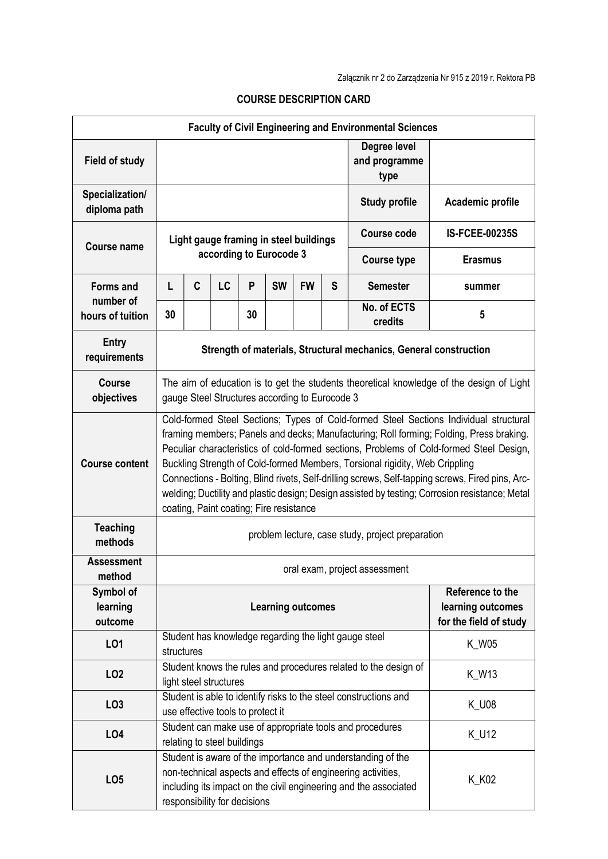|                                  |                                                                                                                                                                                                                                                                                                                                                                                                                                                                                                                                                                                                             |                                                                                                           |                                   |    |           |           |                                             | <b>Faculty of Civil Engineering and Environmental Sciences</b>    |                       |
|----------------------------------|-------------------------------------------------------------------------------------------------------------------------------------------------------------------------------------------------------------------------------------------------------------------------------------------------------------------------------------------------------------------------------------------------------------------------------------------------------------------------------------------------------------------------------------------------------------------------------------------------------------|-----------------------------------------------------------------------------------------------------------|-----------------------------------|----|-----------|-----------|---------------------------------------------|-------------------------------------------------------------------|-----------------------|
| <b>Field of study</b>            |                                                                                                                                                                                                                                                                                                                                                                                                                                                                                                                                                                                                             |                                                                                                           |                                   |    |           |           |                                             | Degree level<br>and programme<br>type                             |                       |
| Specialization/<br>diploma path  |                                                                                                                                                                                                                                                                                                                                                                                                                                                                                                                                                                                                             |                                                                                                           |                                   |    |           |           |                                             | <b>Study profile</b>                                              | Academic profile      |
| <b>Course name</b>               | Light gauge framing in steel buildings                                                                                                                                                                                                                                                                                                                                                                                                                                                                                                                                                                      |                                                                                                           |                                   |    |           |           |                                             | Course code                                                       | <b>IS-FCEE-00235S</b> |
|                                  |                                                                                                                                                                                                                                                                                                                                                                                                                                                                                                                                                                                                             | according to Eurocode 3                                                                                   |                                   |    |           |           |                                             | <b>Course type</b>                                                | <b>Erasmus</b>        |
| <b>Forms and</b><br>number of    | L                                                                                                                                                                                                                                                                                                                                                                                                                                                                                                                                                                                                           | C                                                                                                         | LC                                | P  | <b>SW</b> | <b>FW</b> | S                                           | <b>Semester</b>                                                   | summer                |
| hours of tuition                 | 30                                                                                                                                                                                                                                                                                                                                                                                                                                                                                                                                                                                                          |                                                                                                           |                                   | 30 |           |           |                                             | No. of ECTS<br>credits                                            | 5                     |
| <b>Entry</b><br>requirements     |                                                                                                                                                                                                                                                                                                                                                                                                                                                                                                                                                                                                             |                                                                                                           |                                   |    |           |           |                                             | Strength of materials, Structural mechanics, General construction |                       |
| <b>Course</b><br>objectives      | The aim of education is to get the students theoretical knowledge of the design of Light<br>gauge Steel Structures according to Eurocode 3                                                                                                                                                                                                                                                                                                                                                                                                                                                                  |                                                                                                           |                                   |    |           |           |                                             |                                                                   |                       |
| <b>Course content</b>            | Cold-formed Steel Sections; Types of Cold-formed Steel Sections Individual structural<br>framing members; Panels and decks; Manufacturing; Roll forming; Folding, Press braking.<br>Peculiar characteristics of cold-formed sections, Problems of Cold-formed Steel Design,<br>Buckling Strength of Cold-formed Members, Torsional rigidity, Web Crippling<br>Connections - Bolting, Blind rivets, Self-drilling screws, Self-tapping screws, Fired pins, Arc-<br>welding; Ductility and plastic design; Design assisted by testing; Corrosion resistance; Metal<br>coating, Paint coating; Fire resistance |                                                                                                           |                                   |    |           |           |                                             |                                                                   |                       |
| <b>Teaching</b><br>methods       | problem lecture, case study, project preparation                                                                                                                                                                                                                                                                                                                                                                                                                                                                                                                                                            |                                                                                                           |                                   |    |           |           |                                             |                                                                   |                       |
| <b>Assessment</b><br>method      | oral exam, project assessment                                                                                                                                                                                                                                                                                                                                                                                                                                                                                                                                                                               |                                                                                                           |                                   |    |           |           |                                             |                                                                   |                       |
| Symbol of<br>learning<br>outcome | Reference to the<br><b>Learning outcomes</b>                                                                                                                                                                                                                                                                                                                                                                                                                                                                                                                                                                |                                                                                                           |                                   |    |           |           | learning outcomes<br>for the field of study |                                                                   |                       |
| LO1                              | Student has knowledge regarding the light gauge steel<br><b>K_W05</b><br>structures                                                                                                                                                                                                                                                                                                                                                                                                                                                                                                                         |                                                                                                           |                                   |    |           |           |                                             |                                                                   |                       |
| LO <sub>2</sub>                  |                                                                                                                                                                                                                                                                                                                                                                                                                                                                                                                                                                                                             | Student knows the rules and procedures related to the design of<br><b>K_W13</b><br>light steel structures |                                   |    |           |           |                                             |                                                                   |                       |
| LO <sub>3</sub>                  |                                                                                                                                                                                                                                                                                                                                                                                                                                                                                                                                                                                                             |                                                                                                           | use effective tools to protect it |    |           |           |                                             | Student is able to identify risks to the steel constructions and  | <b>K_U08</b>          |
| LO <sub>4</sub>                  |                                                                                                                                                                                                                                                                                                                                                                                                                                                                                                                                                                                                             |                                                                                                           |                                   |    |           |           |                                             | Student can make use of appropriate tools and procedures          | <b>K_U12</b>          |
| LO <sub>5</sub>                  | relating to steel buildings<br>Student is aware of the importance and understanding of the<br>non-technical aspects and effects of engineering activities,<br>K_K02<br>including its impact on the civil engineering and the associated<br>responsibility for decisions                                                                                                                                                                                                                                                                                                                                     |                                                                                                           |                                   |    |           |           |                                             |                                                                   |                       |

## COURSE DESCRIPTION CARD